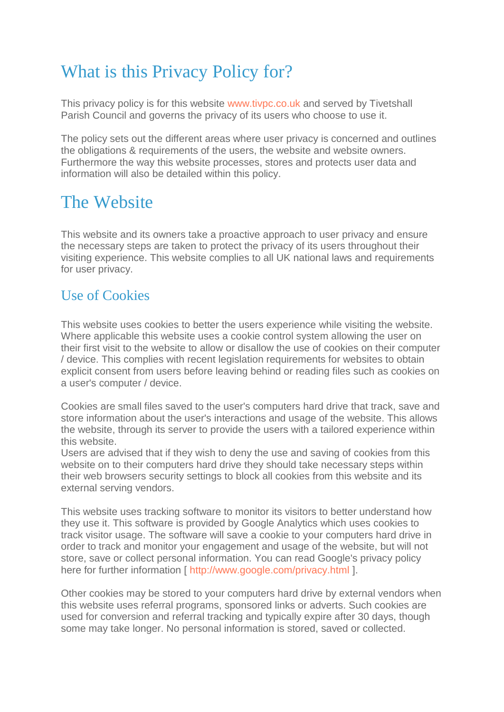# What is this Privacy Policy for?

This privacy policy is for this website [www.tivpc.co.uk](http://www.tivpc.co.uk/) and served by Tivetshall Parish Council and governs the privacy of its users who choose to use it.

The policy sets out the different areas where user privacy is concerned and outlines the obligations & requirements of the users, the website and website owners. Furthermore the way this website processes, stores and protects user data and information will also be detailed within this policy.

# The Website

This website and its owners take a proactive approach to user privacy and ensure the necessary steps are taken to protect the privacy of its users throughout their visiting experience. This website complies to all UK national laws and requirements for user privacy.

#### Use of Cookies

This website uses cookies to better the users experience while visiting the website. Where applicable this website uses a cookie control system allowing the user on their first visit to the website to allow or disallow the use of cookies on their computer / device. This complies with recent legislation requirements for websites to obtain explicit consent from users before leaving behind or reading files such as cookies on a user's computer / device.

Cookies are small files saved to the user's computers hard drive that track, save and store information about the user's interactions and usage of the website. This allows the website, through its server to provide the users with a tailored experience within this website.

Users are advised that if they wish to deny the use and saving of cookies from this website on to their computers hard drive they should take necessary steps within their web browsers security settings to block all cookies from this website and its external serving vendors.

This website uses tracking software to monitor its visitors to better understand how they use it. This software is provided by Google Analytics which uses cookies to track visitor usage. The software will save a cookie to your computers hard drive in order to track and monitor your engagement and usage of the website, but will not store, save or collect personal information. You can read Google's privacy policy here for further information [ [http://www.google.com/privacy.html \]](http://www.google.com/privacy.html).

Other cookies may be stored to your computers hard drive by external vendors when this website uses referral programs, sponsored links or adverts. Such cookies are used for conversion and referral tracking and typically expire after 30 days, though some may take longer. No personal information is stored, saved or collected.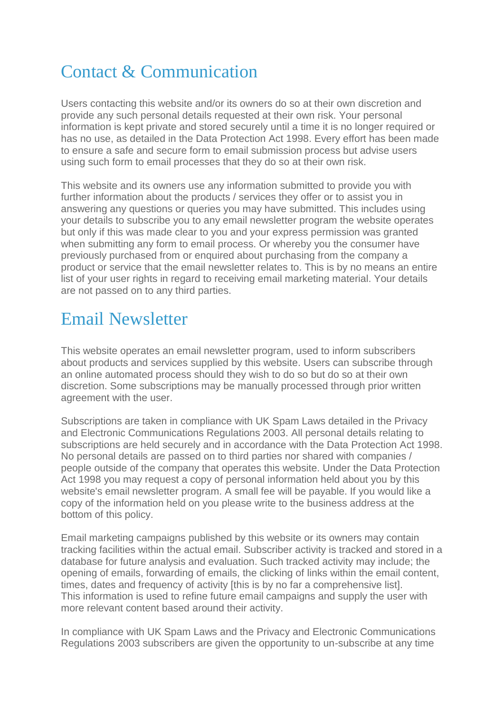# Contact & Communication

Users contacting this website and/or its owners do so at their own discretion and provide any such personal details requested at their own risk. Your personal information is kept private and stored securely until a time it is no longer required or has no use, as detailed in the Data Protection Act 1998. Every effort has been made to ensure a safe and secure form to email submission process but advise users using such form to email processes that they do so at their own risk.

This website and its owners use any information submitted to provide you with further information about the products / services they offer or to assist you in answering any questions or queries you may have submitted. This includes using your details to subscribe you to any email newsletter program the website operates but only if this was made clear to you and your express permission was granted when submitting any form to email process. Or whereby you the consumer have previously purchased from or enquired about purchasing from the company a product or service that the email newsletter relates to. This is by no means an entire list of your user rights in regard to receiving email marketing material. Your details are not passed on to any third parties.

### Email Newsletter

This website operates an email newsletter program, used to inform subscribers about products and services supplied by this website. Users can subscribe through an online automated process should they wish to do so but do so at their own discretion. Some subscriptions may be manually processed through prior written agreement with the user.

Subscriptions are taken in compliance with UK Spam Laws detailed in the Privacy and Electronic Communications Regulations 2003. All personal details relating to subscriptions are held securely and in accordance with the Data Protection Act 1998. No personal details are passed on to third parties nor shared with companies / people outside of the company that operates this website. Under the Data Protection Act 1998 you may request a copy of personal information held about you by this website's email newsletter program. A small fee will be payable. If you would like a copy of the information held on you please write to the business address at the bottom of this policy.

Email marketing campaigns published by this website or its owners may contain tracking facilities within the actual email. Subscriber activity is tracked and stored in a database for future analysis and evaluation. Such tracked activity may include; the opening of emails, forwarding of emails, the clicking of links within the email content, times, dates and frequency of activity [this is by no far a comprehensive list]. This information is used to refine future email campaigns and supply the user with more relevant content based around their activity.

In compliance with UK Spam Laws and the Privacy and Electronic Communications Regulations 2003 subscribers are given the opportunity to un-subscribe at any time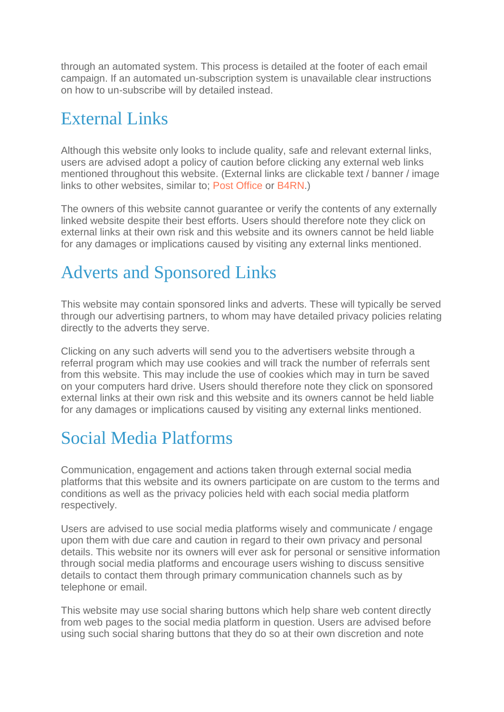through an automated system. This process is detailed at the footer of each email campaign. If an automated un-subscription system is unavailable clear instructions on how to un-subscribe will by detailed instead.

### External Links

Although this website only looks to include quality, safe and relevant external links, users are advised adopt a policy of caution before clicking any external web links mentioned throughout this website. (External links are clickable text / banner / image links to other websites, similar to; [Post Office](http://www.craftykingsboutique.co.uk/) or [B4RN.](http://www.newportholidaycottages.co.uk/))

The owners of this website cannot guarantee or verify the contents of any externally linked website despite their best efforts. Users should therefore note they click on external links at their own risk and this website and its owners cannot be held liable for any damages or implications caused by visiting any external links mentioned.

# Adverts and Sponsored Links

This website may contain sponsored links and adverts. These will typically be served through our advertising partners, to whom may have detailed privacy policies relating directly to the adverts they serve.

Clicking on any such adverts will send you to the advertisers website through a referral program which may use cookies and will track the number of referrals sent from this website. This may include the use of cookies which may in turn be saved on your computers hard drive. Users should therefore note they click on sponsored external links at their own risk and this website and its owners cannot be held liable for any damages or implications caused by visiting any external links mentioned.

# Social Media Platforms

Communication, engagement and actions taken through external social media platforms that this website and its owners participate on are custom to the terms and conditions as well as the privacy policies held with each social media platform respectively.

Users are advised to use social media platforms wisely and communicate / engage upon them with due care and caution in regard to their own privacy and personal details. This website nor its owners will ever ask for personal or sensitive information through social media platforms and encourage users wishing to discuss sensitive details to contact them through primary communication channels such as by telephone or email.

This website may use social sharing buttons which help share web content directly from web pages to the social media platform in question. Users are advised before using such social sharing buttons that they do so at their own discretion and note